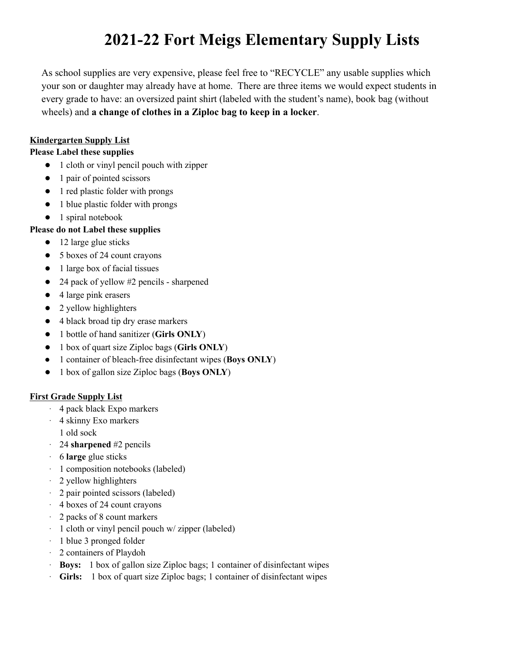# **2021-22 Fort Meigs Elementary Supply Lists**

As school supplies are very expensive, please feel free to "RECYCLE" any usable supplies which your son or daughter may already have at home. There are three items we would expect students in every grade to have: an oversized paint shirt (labeled with the student's name), book bag (without wheels) and **a change of clothes in a Ziploc bag to keep in a locker**.

### **Kindergarten Supply List**

#### **Please Label these supplies**

- 1 cloth or vinyl pencil pouch with zipper
- 1 pair of pointed scissors
- 1 red plastic folder with prongs
- 1 blue plastic folder with prongs
- 1 spiral notebook

# **Please do not Label these supplies**

- 12 large glue sticks
- 5 boxes of 24 count crayons
- 1 large box of facial tissues
- 24 pack of yellow #2 pencils sharpened
- 4 large pink erasers
- 2 yellow highlighters
- 4 black broad tip dry erase markers
- 1 bottle of hand sanitizer (**Girls ONLY**)
- 1 box of quart size Ziploc bags (**Girls ONLY**)
- 1 container of bleach-free disinfectant wipes (**Boys ONLY**)
- 1 box of gallon size Ziploc bags (**Boys ONLY**)

# **First Grade Supply List**

- · 4 pack black Expo markers
- · 4 skinny Exo markers
- 1 old sock
- · 24 **sharpened** #2 pencils
- · 6 **large** glue sticks
- · 1 composition notebooks (labeled)
- · 2 yellow highlighters
- · 2 pair pointed scissors (labeled)
- · 4 boxes of 24 count crayons
- · 2 packs of 8 count markers
- · 1 cloth or vinyl pencil pouch w/ zipper (labeled)
- · 1 blue 3 pronged folder
- · 2 containers of Playdoh
- · **Boys:** 1 box of gallon size Ziploc bags; 1 container of disinfectant wipes
- · **Girls:** 1 box of quart size Ziploc bags; 1 container of disinfectant wipes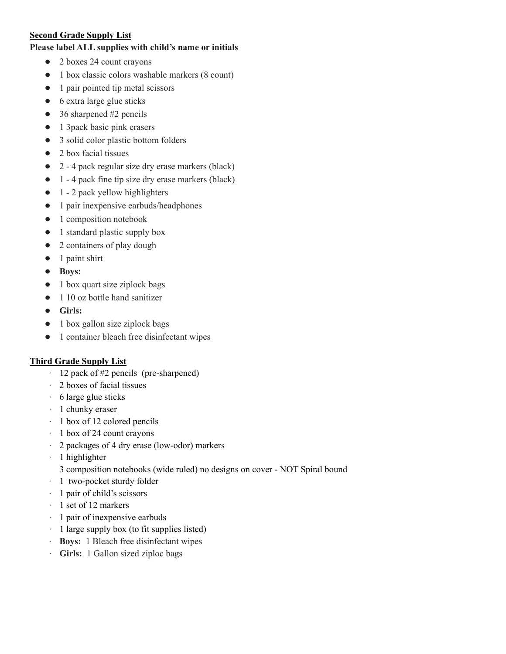#### **Second Grade Supply List**

#### **Please label ALL supplies with child's name or initials**

- 2 boxes 24 count crayons
- 1 box classic colors washable markers (8 count)
- 1 pair pointed tip metal scissors
- 6 extra large glue sticks
- $\bullet$  36 sharpened #2 pencils
- 1 3pack basic pink erasers
- 3 solid color plastic bottom folders
- 2 box facial tissues
- 2 4 pack regular size dry erase markers (black)
- 1 4 pack fine tip size dry erase markers (black)
- $\bullet$  1 2 pack yellow highlighters
- 1 pair inexpensive earbuds/headphones
- 1 composition notebook
- 1 standard plastic supply box
- 2 containers of play dough
- 1 paint shirt
- **Boys:**
- 1 box quart size ziplock bags
- 1 10 oz bottle hand sanitizer
- **Girls:**
- 1 box gallon size ziplock bags
- 1 container bleach free disinfectant wipes

#### **Third Grade Supply List**

- · 12 pack of #2 pencils (pre-sharpened)
- · 2 boxes of facial tissues
- · 6 large glue sticks
- · 1 chunky eraser
- · 1 box of 12 colored pencils
- · 1 box of 24 count crayons
- · 2 packages of 4 dry erase (low-odor) markers
- · 1 highlighter
	- 3 composition notebooks (wide ruled) no designs on cover NOT Spiral bound
- · 1 two-pocket sturdy folder
- · 1 pair of child's scissors
- · 1 set of 12 markers
- · 1 pair of inexpensive earbuds
- · 1 large supply box (to fit supplies listed)
- · **Boys:** 1 Bleach free disinfectant wipes
- · **Girls:** 1 Gallon sized ziploc bags